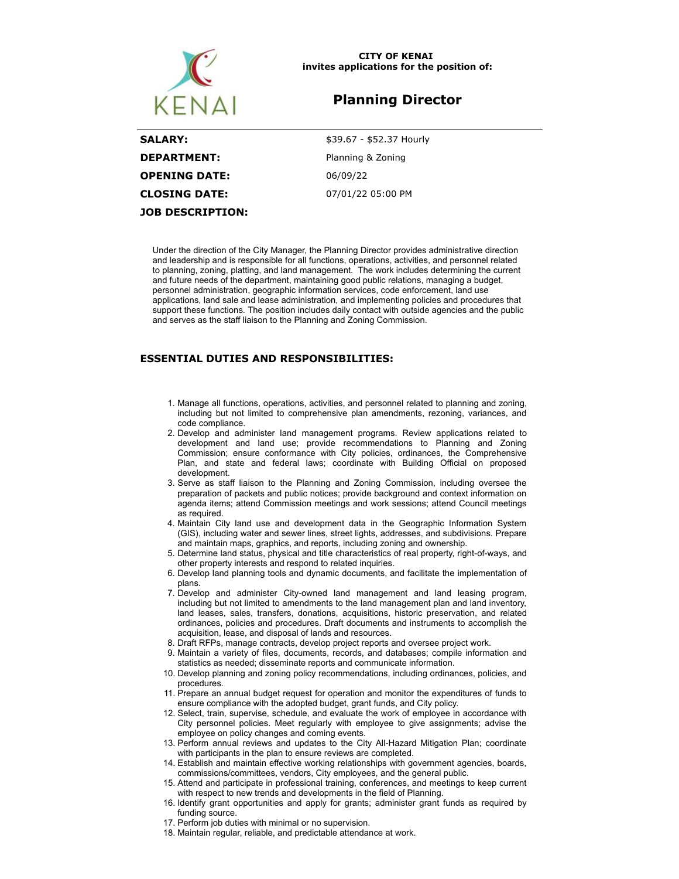

### **CITY OF KENAI invites applications for the position of:**

# **Planning Director**

| <b>SALARY:</b>          | \$39.67 - \$52.37 Hourly |
|-------------------------|--------------------------|
| <b>DEPARTMENT:</b>      | Planning & Zoning        |
| <b>OPENING DATE:</b>    | 06/09/22                 |
| CLOSING DATE:           | 07/01/22 05:00 PM        |
| <b>JOB DESCRIPTION:</b> |                          |

Under the direction of the City Manager, the Planning Director provides administrative direction and leadership and is responsible for all functions, operations, activities, and personnel related to planning, zoning, platting, and land management. The work includes determining the current and future needs of the department, maintaining good public relations, managing a budget, personnel administration, geographic information services, code enforcement, land use applications, land sale and lease administration, and implementing policies and procedures that support these functions. The position includes daily contact with outside agencies and the public and serves as the staff liaison to the Planning and Zoning Commission.

## **ESSENTIAL DUTIES AND RESPONSIBILITIES:**

- 1. Manage all functions, operations, activities, and personnel related to planning and zoning, including but not limited to comprehensive plan amendments, rezoning, variances, and code compliance.
- 2. Develop and administer land management programs. Review applications related to development and land use; provide recommendations to Planning and Zoning Commission; ensure conformance with City policies, ordinances, the Comprehensive Plan, and state and federal laws; coordinate with Building Official on proposed development.
- 3. Serve as staff liaison to the Planning and Zoning Commission, including oversee the preparation of packets and public notices; provide background and context information on agenda items; attend Commission meetings and work sessions; attend Council meetings as required.
- 4. Maintain City land use and development data in the Geographic Information System (GIS), including water and sewer lines, street lights, addresses, and subdivisions. Prepare and maintain maps, graphics, and reports, including zoning and ownership.
- 5. Determine land status, physical and title characteristics of real property, right-of-ways, and other property interests and respond to related inquiries.
- 6. Develop land planning tools and dynamic documents, and facilitate the implementation of plans.
- 7. Develop and administer City-owned land management and land leasing program, including but not limited to amendments to the land management plan and land inventory, land leases, sales, transfers, donations, acquisitions, historic preservation, and related ordinances, policies and procedures. Draft documents and instruments to accomplish the acquisition, lease, and disposal of lands and resources.
- 8. Draft RFPs, manage contracts, develop project reports and oversee project work.
- 9. Maintain a variety of files, documents, records, and databases; compile information and statistics as needed; disseminate reports and communicate information.
- 10. Develop planning and zoning policy recommendations, including ordinances, policies, and procedures.
- 11. Prepare an annual budget request for operation and monitor the expenditures of funds to ensure compliance with the adopted budget, grant funds, and City policy.
- 12. Select, train, supervise, schedule, and evaluate the work of employee in accordance with City personnel policies. Meet regularly with employee to give assignments; advise the employee on policy changes and coming events.
- 13. Perform annual reviews and updates to the City All-Hazard Mitigation Plan; coordinate with participants in the plan to ensure reviews are completed.
- 14. Establish and maintain effective working relationships with government agencies, boards, commissions/committees, vendors, City employees, and the general public.
- 15. Attend and participate in professional training, conferences, and meetings to keep current with respect to new trends and developments in the field of Planning.
- 16. Identify grant opportunities and apply for grants; administer grant funds as required by funding source.
- 17. Perform job duties with minimal or no supervision.
- 18. Maintain regular, reliable, and predictable attendance at work.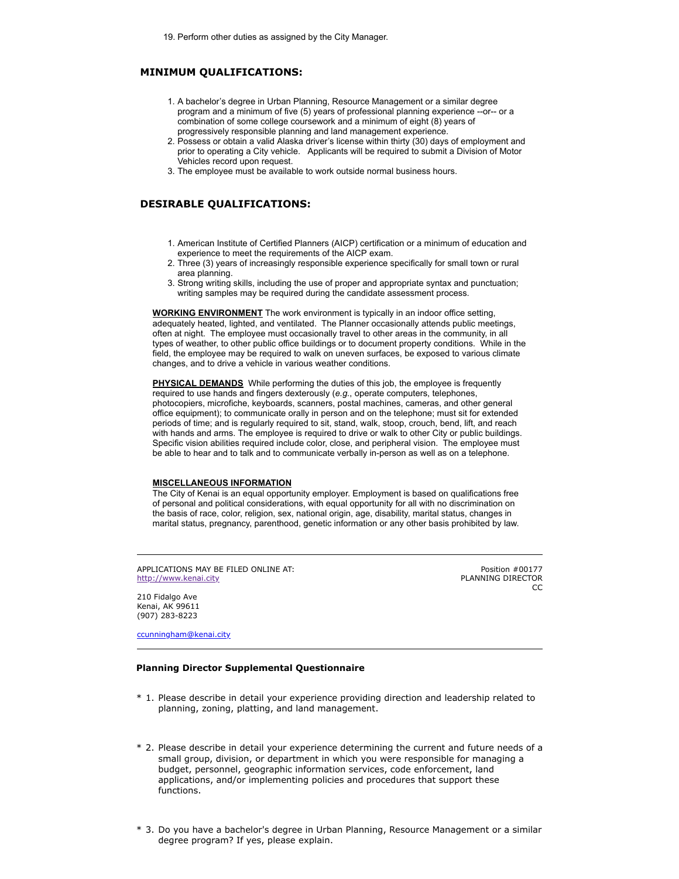# **MINIMUM QUALIFICATIONS:**

- 1. A bachelor's degree in Urban Planning, Resource Management or a similar degree program and a minimum of five (5) years of professional planning experience --or-- or a combination of some college coursework and a minimum of eight (8) years of progressively responsible planning and land management experience.
- 2. Possess or obtain a valid Alaska driver's license within thirty (30) days of employment and prior to operating a City vehicle. Applicants will be required to submit a Division of Motor Vehicles record upon request.
- 3. The employee must be available to work outside normal business hours.

### **DESIRABLE QUALIFICATIONS:**

- 1. American Institute of Certified Planners (AICP) certification or a minimum of education and experience to meet the requirements of the AICP exam.
- 2. Three (3) years of increasingly responsible experience specifically for small town or rural area planning.
- 3. Strong writing skills, including the use of proper and appropriate syntax and punctuation; writing samples may be required during the candidate assessment process.

**WORKING ENVIRONMENT** The work environment is typically in an indoor office setting, adequately heated, lighted, and ventilated. The Planner occasionally attends public meetings, often at night. The employee must occasionally travel to other areas in the community, in all types of weather, to other public office buildings or to document property conditions. While in the field, the employee may be required to walk on uneven surfaces, be exposed to various climate changes, and to drive a vehicle in various weather conditions.

**PHYSICAL DEMANDS** While performing the duties of this job, the employee is frequently required to use hands and fingers dexterously (*e.g.*, operate computers, telephones, photocopiers, microfiche, keyboards, scanners, postal machines, cameras, and other general office equipment); to communicate orally in person and on the telephone; must sit for extended periods of time; and is regularly required to sit, stand, walk, stoop, crouch, bend, lift, and reach with hands and arms. The employee is required to drive or walk to other City or public buildings. Specific vision abilities required include color, close, and peripheral vision. The employee must be able to hear and to talk and to communicate verbally in-person as well as on a telephone.

### **MISCELLANEOUS INFORMATION**

The City of Kenai is an equal opportunity employer. Employment is based on qualifications free of personal and political considerations, with equal opportunity for all with no discrimination on the basis of race, color, religion, sex, national origin, age, disability, marital status, changes in marital status, pregnancy, parenthood, genetic information or any other basis prohibited by law.

APPLICATIONS MAY BE FILED ONLINE AT: [http://www.kenai.city](http://www.kenai.city/)

Position #00177 PLANNING DIRECTOR CC

210 Fidalgo Ave Kenai, AK 99611 (907) 283-8223

[ccunningham@kenai.city](mailto:ccunningham@kenai.city)

### **Planning Director Supplemental Questionnaire**

- \* 1. Please describe in detail your experience providing direction and leadership related to planning, zoning, platting, and land management.
- \* 2. Please describe in detail your experience determining the current and future needs of a small group, division, or department in which you were responsible for managing a budget, personnel, geographic information services, code enforcement, land applications, and/or implementing policies and procedures that support these functions.
- \* 3. Do you have a bachelor's degree in Urban Planning, Resource Management or a similar degree program? If yes, please explain.